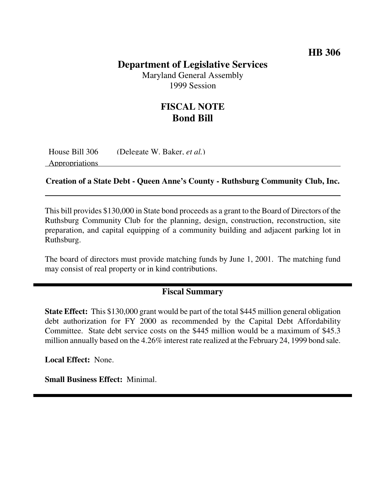## **HB 306**

### **Department of Legislative Services**

Maryland General Assembly 1999 Session

## **FISCAL NOTE Bond Bill**

House Bill 306 (Delegate W. Baker, *et al.*)

Appropriations

#### **Creation of a State Debt - Queen Anne's County - Ruthsburg Community Club, Inc.**

This bill provides \$130,000 in State bond proceeds as a grant to the Board of Directors of the Ruthsburg Community Club for the planning, design, construction, reconstruction, site preparation, and capital equipping of a community building and adjacent parking lot in Ruthsburg.

The board of directors must provide matching funds by June 1, 2001. The matching fund may consist of real property or in kind contributions.

#### **Fiscal Summary**

**State Effect:** This \$130,000 grant would be part of the total \$445 million general obligation debt authorization for FY 2000 as recommended by the Capital Debt Affordability Committee. State debt service costs on the \$445 million would be a maximum of \$45.3 million annually based on the 4.26% interest rate realized at the February 24, 1999 bond sale.

**Local Effect:** None.

**Small Business Effect:** Minimal.